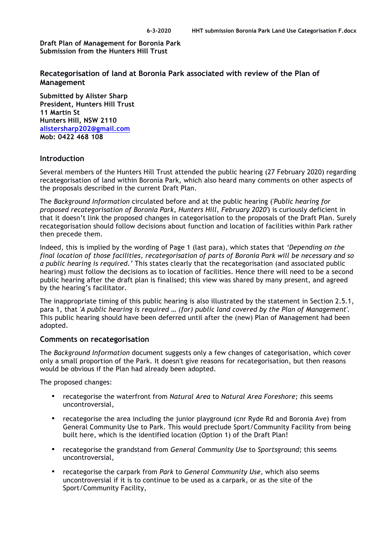**Draft Plan of Management for Boronia Park Submission from the Hunters Hill Trust**

**Recategorisation of land at Boronia Park associated with review of the Plan of Management**

**Submitted by Alister Sharp President, Hunters Hill Trust 11 Martin St Hunters Hill, NSW 2110 alistersharp202@gmail.com Mob: 0422 468 108**

## **Introduction**

Several members of the Hunters Hill Trust attended the public hearing (27 February 2020) regarding recategorisation of land within Boronia Park, which also heard many comments on other aspects of the proposals described in the current Draft Plan.

The *Background Information* circulated before and at the public hearing ('*Public hearing for proposed recategorisation of Boronia Park, Hunters Hill, February 2020'*) is curiously deficient in that it doesn't link the proposed changes in categorisation to the proposals of the Draft Plan. Surely recategorisation should follow decisions about function and location of facilities within Park rather then precede them.

Indeed, this is implied by the wording of Page 1 (last para), which states that *'Depending on the final location of those facilities, recategorisation of parts of Boronia Park will be necessary and so a public hearing is required.'* This states clearly that the recategorisation (and associated public hearing) must follow the decisions as to location of facilities. Hence there will need to be a second public hearing after the draft plan is finalised; this view was shared by many present, and agreed by the hearing's facilitator.

The inappropriate timing of this public hearing is also illustrated by the statement in Section 2.5.1, para 1, that *'A public hearing is required … (for) public land covered by the Plan of Management'*. This public hearing should have been deferred until after the (new) Plan of Management had been adopted.

## **Comments on recategorisation**

The *Background Information* document suggests only a few changes of categorisation, which cover only a small proportion of the Park. It doesn't give reasons for recategorisation, but then reasons would be obvious if the Plan had already been adopted.

The proposed changes:

- recategorise the waterfront from *Natural Area* to *Natural Area Foreshore; t*his seems uncontroversial,
- recategorise the area including the junior playground (cnr Ryde Rd and Boronia Ave) from General Community Use to Park. This would preclude Sport/Community Facility from being built here, which is the identified location (Option 1) of the Draft Plan!
- recategorise the grandstand from *General Community Use* to *Sportsground;* this seems uncontroversial,
- recategorise the carpark from *Park* to *General Community Use*, which also seems uncontroversial if it is to continue to be used as a carpark, or as the site of the Sport/Community Facility,